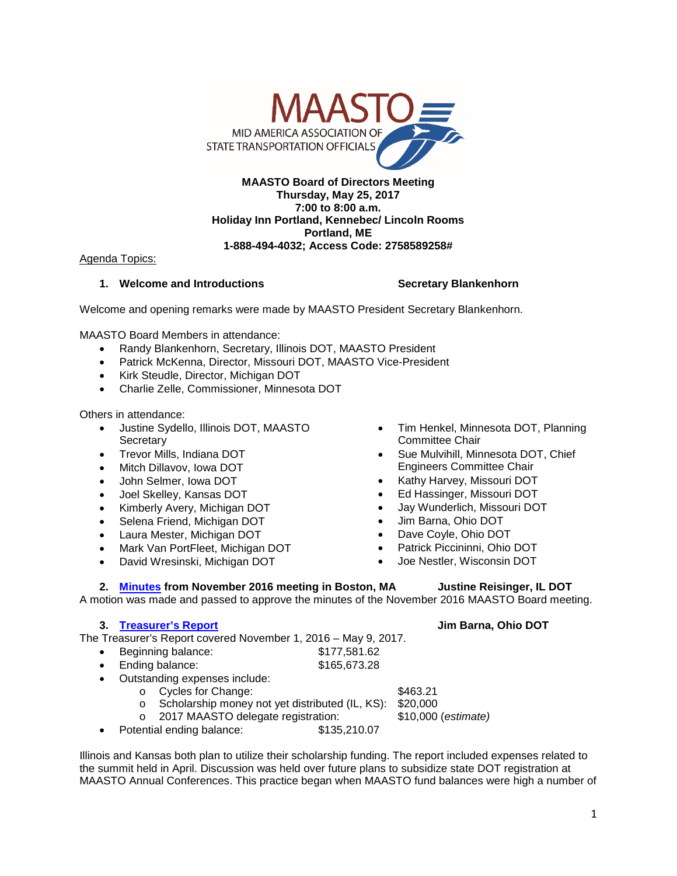

### **MAASTO Board of Directors Meeting Thursday, May 25, 2017 7:00 to 8:00 a.m. Holiday Inn Portland, Kennebec/ Lincoln Rooms Portland, ME 1-888-494-4032; Access Code: 2758589258#**

Agenda Topics:

### **1. Welcome and Introductions Secretary Blankenhorn**

Welcome and opening remarks were made by MAASTO President Secretary Blankenhorn.

MAASTO Board Members in attendance:

- Randy Blankenhorn, Secretary, Illinois DOT, MAASTO President
- Patrick McKenna, Director, Missouri DOT, MAASTO Vice-President
- Kirk Steudle, Director, Michigan DOT
- Charlie Zelle, Commissioner, Minnesota DOT

Others in attendance:

- Justine Sydello, Illinois DOT, MAASTO **Secretary**
- Trevor Mills, Indiana DOT
- Mitch Dillavov, Iowa DOT
- John Selmer, Iowa DOT
- Joel Skelley, Kansas DOT
- Kimberly Avery, Michigan DOT
- Selena Friend, Michigan DOT
- Laura Mester, Michigan DOT
- Mark Van PortFleet, Michigan DOT
- David Wresinski, Michigan DOT
- Tim Henkel, Minnesota DOT, Planning Committee Chair
- Sue Mulvihill, Minnesota DOT, Chief Engineers Committee Chair
- Kathy Harvey, Missouri DOT
- Ed Hassinger, Missouri DOT
- Jay Wunderlich, Missouri DOT
- Jim Barna, Ohio DOT
- Dave Coyle, Ohio DOT
- Patrick Piccininni, Ohio DOT
- Joe Nestler, Wisconsin DOT

### **2. [Minutes](http://maasto.net/documents/Nov%202016%20MAASTO%20BOD%20Meeting%20Minutes.pdf) from November 2016 meeting in Boston, MA Justine Reisinger, IL DOT**

A motion was made and passed to approve the minutes of the November 2016 MAASTO Board meeting.

# **3. [Treasurer's Report](http://maasto.net/documents/MAASTO%20Treasurers%20Report%205-17.pdf) Jim Barna, Ohio DOT**

The Treasurer's Report covered November 1, 2016 – May 9, 2017.

- Beginning balance: \$177,581.62 **Ending balance:** \$165,673.28
- Outstanding expenses include:
	- o Cycles for Change:  $$463.21$
	- o Scholarship money not yet distributed (IL, KS): \$20,000<br>○ 2017 MAASTO delegate registration: \$10,000 (estimate)
	-
- o 2017 MAASTO delegate registration:<br><sup>2017</sup> ential ending balance: \$135,210.07 Potential ending balance:

Illinois and Kansas both plan to utilize their scholarship funding. The report included expenses related to the summit held in April. Discussion was held over future plans to subsidize state DOT registration at MAASTO Annual Conferences. This practice began when MAASTO fund balances were high a number of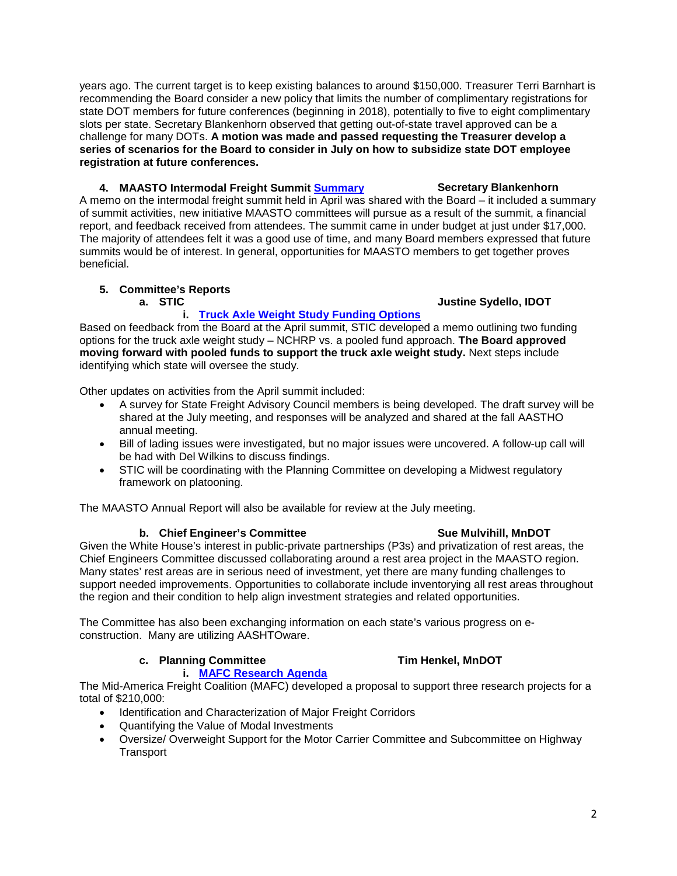years ago. The current target is to keep existing balances to around \$150,000. Treasurer Terri Barnhart is recommending the Board consider a new policy that limits the number of complimentary registrations for state DOT members for future conferences (beginning in 2018), potentially to five to eight complimentary slots per state. Secretary Blankenhorn observed that getting out-of-state travel approved can be a challenge for many DOTs. **A motion was made and passed requesting the Treasurer develop a series of scenarios for the Board to consider in July on how to subsidize state DOT employee registration at future conferences.** 

# **4. MAASTO Intermodal Freight Summit [Summary](http://maasto.net/documents/MAASTO%20Intermodal%20Freight%20Summit%20Summary.pdf) Secretary Blankenhorn**

A memo on the intermodal freight summit held in April was shared with the Board – it included a summary of summit activities, new initiative MAASTO committees will pursue as a result of the summit, a financial report, and feedback received from attendees. The summit came in under budget at just under \$17,000. The majority of attendees felt it was a good use of time, and many Board members expressed that future summits would be of interest. In general, opportunities for MAASTO members to get together proves beneficial.

### **5. Committee's Reports**

### **a. STIC Justine Sydello, IDOT**

### **i. [Truck Axle Weight Study Funding Options](http://maasto.net/documents/Truck%20Axle-Weight%20Study%20Options.pdf)**

Based on feedback from the Board at the April summit, STIC developed a memo outlining two funding options for the truck axle weight study – NCHRP vs. a pooled fund approach. **The Board approved moving forward with pooled funds to support the truck axle weight study.** Next steps include identifying which state will oversee the study.

Other updates on activities from the April summit included:

- A survey for State Freight Advisory Council members is being developed. The draft survey will be shared at the July meeting, and responses will be analyzed and shared at the fall AASTHO annual meeting.
- Bill of lading issues were investigated, but no major issues were uncovered. A follow-up call will be had with Del Wilkins to discuss findings.
- STIC will be coordinating with the Planning Committee on developing a Midwest regulatory framework on platooning.

The MAASTO Annual Report will also be available for review at the July meeting.

### **b.** Chief Engineer's Committee **Sue Mulvihill, MnDOT**

Given the White House's interest in public-private partnerships (P3s) and privatization of rest areas, the Chief Engineers Committee discussed collaborating around a rest area project in the MAASTO region. Many states' rest areas are in serious need of investment, yet there are many funding challenges to support needed improvements. Opportunities to collaborate include inventorying all rest areas throughout the region and their condition to help align investment strategies and related opportunities.

The Committee has also been exchanging information on each state's various progress on econstruction. Many are utilizing AASHTOware.

### **c. Planning Committee Tim Henkel, MnDOT i. [MAFC Research Agenda](http://maasto.net/documents/MAFC%20Research%20Agenda.pdf)**

The Mid-America Freight Coalition (MAFC) developed a proposal to support three research projects for a total of \$210,000:

- Identification and Characterization of Major Freight Corridors
- Quantifying the Value of Modal Investments
- Oversize/ Overweight Support for the Motor Carrier Committee and Subcommittee on Highway **Transport**

# 2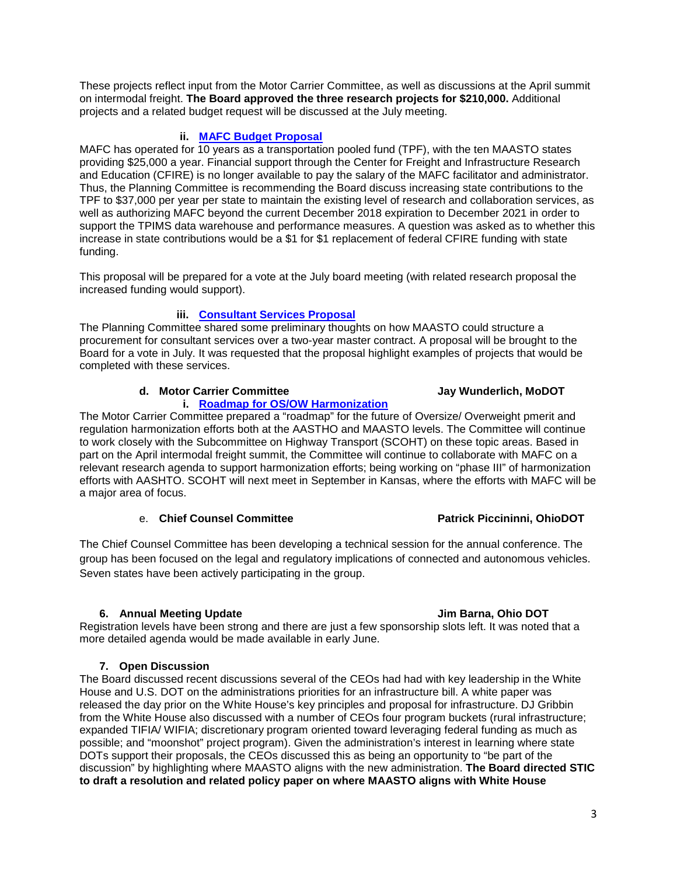These projects reflect input from the Motor Carrier Committee, as well as discussions at the April summit on intermodal freight. **The Board approved the three research projects for \$210,000.** Additional projects and a related budget request will be discussed at the July meeting.

# **ii. [MAFC Budget Proposal](http://maasto.net/documents/MAFC%20Budget%20Proposal.pdf)**

MAFC has operated for 10 years as a transportation pooled fund (TPF), with the ten MAASTO states providing \$25,000 a year. Financial support through the Center for Freight and Infrastructure Research and Education (CFIRE) is no longer available to pay the salary of the MAFC facilitator and administrator. Thus, the Planning Committee is recommending the Board discuss increasing state contributions to the TPF to \$37,000 per year per state to maintain the existing level of research and collaboration services, as well as authorizing MAFC beyond the current December 2018 expiration to December 2021 in order to support the TPIMS data warehouse and performance measures. A question was asked as to whether this increase in state contributions would be a \$1 for \$1 replacement of federal CFIRE funding with state funding.

This proposal will be prepared for a vote at the July board meeting (with related research proposal the increased funding would support).

# **iii. [Consultant Services Proposal](http://maasto.net/documents/Consultant%20Services%20Proposal.pdf)**

The Planning Committee shared some preliminary thoughts on how MAASTO could structure a procurement for consultant services over a two-year master contract. A proposal will be brought to the Board for a vote in July. It was requested that the proposal highlight examples of projects that would be completed with these services.

### **d. Motor Carrier Committee Jay Wunderlich, MoDOT**

# **i. [Roadmap for OS/OW Harmonization](http://maasto.net/documents/Roadmap%20for%20OSOW%20Harmonization.pdf)**

The Motor Carrier Committee prepared a "roadmap" for the future of Oversize/ Overweight pmerit and regulation harmonization efforts both at the AASTHO and MAASTO levels. The Committee will continue to work closely with the Subcommittee on Highway Transport (SCOHT) on these topic areas. Based in part on the April intermodal freight summit, the Committee will continue to collaborate with MAFC on a relevant research agenda to support harmonization efforts; being working on "phase III" of harmonization efforts with AASHTO. SCOHT will next meet in September in Kansas, where the efforts with MAFC will be a major area of focus.

## e. **Chief Counsel Committee Patrick Piccininni, OhioDOT**

The Chief Counsel Committee has been developing a technical session for the annual conference. The group has been focused on the legal and regulatory implications of connected and autonomous vehicles. Seven states have been actively participating in the group.

### **6. Annual Meeting Update Jim Barna, Ohio DOT**

Registration levels have been strong and there are just a few sponsorship slots left. It was noted that a more detailed agenda would be made available in early June.

### **7. Open Discussion**

The Board discussed recent discussions several of the CEOs had had with key leadership in the White House and U.S. DOT on the administrations priorities for an infrastructure bill. A white paper was released the day prior on the White House's key principles and proposal for infrastructure. DJ Gribbin from the White House also discussed with a number of CEOs four program buckets (rural infrastructure; expanded TIFIA/ WIFIA; discretionary program oriented toward leveraging federal funding as much as possible; and "moonshot" project program). Given the administration's interest in learning where state DOTs support their proposals, the CEOs discussed this as being an opportunity to "be part of the discussion" by highlighting where MAASTO aligns with the new administration. **The Board directed STIC to draft a resolution and related policy paper on where MAASTO aligns with White House**